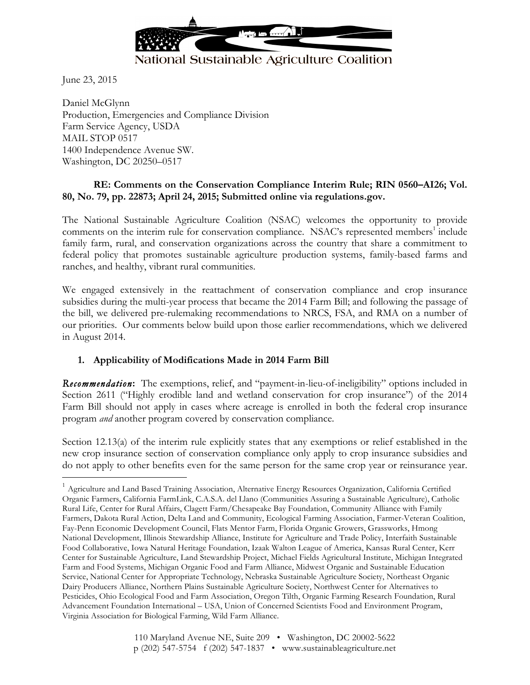

# National Sustainable Agriculture Coalition

June 23, 2015

Daniel McGlynn Production, Emergencies and Compliance Division Farm Service Agency, USDA MAIL STOP 0517 1400 Independence Avenue SW. Washington, DC 20250–0517

#### **RE: Comments on the Conservation Compliance Interim Rule; RIN 0560–AI26; Vol. 80, No. 79, pp. 22873; April 24, 2015; Submitted online via regulations.gov.**

The National Sustainable Agriculture Coalition (NSAC) welcomes the opportunity to provide comments on the interim rule for conservation compliance. NSAC's represented members<sup>1</sup> include family farm, rural, and conservation organizations across the country that share a commitment to federal policy that promotes sustainable agriculture production systems, family-based farms and ranches, and healthy, vibrant rural communities.

We engaged extensively in the reattachment of conservation compliance and crop insurance subsidies during the multi-year process that became the 2014 Farm Bill; and following the passage of the bill, we delivered pre-rulemaking recommendations to NRCS, FSA, and RMA on a number of our priorities. Our comments below build upon those earlier recommendations, which we delivered in August 2014.

## **1. Applicability of Modifications Made in 2014 Farm Bill**

*Recommendation***:** The exemptions, relief, and "payment-in-lieu-of-ineligibility" options included in Section 2611 ("Highly erodible land and wetland conservation for crop insurance") of the 2014 Farm Bill should not apply in cases where acreage is enrolled in both the federal crop insurance program *and* another program covered by conservation compliance.

Section 12.13(a) of the interim rule explicitly states that any exemptions or relief established in the new crop insurance section of conservation compliance only apply to crop insurance subsidies and do not apply to other benefits even for the same person for the same crop year or reinsurance year.

 $1$  Agriculture and Land Based Training Association, Alternative Energy Resources Organization, California Certified Organic Farmers, California FarmLink, C.A.S.A. del Llano (Communities Assuring a Sustainable Agriculture), Catholic Rural Life, Center for Rural Affairs, Clagett Farm/Chesapeake Bay Foundation, Community Alliance with Family Farmers, Dakota Rural Action, Delta Land and Community, Ecological Farming Association, Farmer-Veteran Coalition, Fay-Penn Economic Development Council, Flats Mentor Farm, Florida Organic Growers, Grassworks, Hmong National Development, Illinois Stewardship Alliance, Institute for Agriculture and Trade Policy, Interfaith Sustainable Food Collaborative, Iowa Natural Heritage Foundation, Izaak Walton League of America, Kansas Rural Center, Kerr Center for Sustainable Agriculture, Land Stewardship Project, Michael Fields Agricultural Institute, Michigan Integrated Farm and Food Systems, Michigan Organic Food and Farm Alliance, Midwest Organic and Sustainable Education Service, National Center for Appropriate Technology, Nebraska Sustainable Agriculture Society, Northeast Organic Dairy Producers Alliance, Northern Plains Sustainable Agriculture Society, Northwest Center for Alternatives to Pesticides, Ohio Ecological Food and Farm Association, Oregon Tilth, Organic Farming Research Foundation, Rural Advancement Foundation International – USA, Union of Concerned Scientists Food and Environment Program, Virginia Association for Biological Farming, Wild Farm Alliance.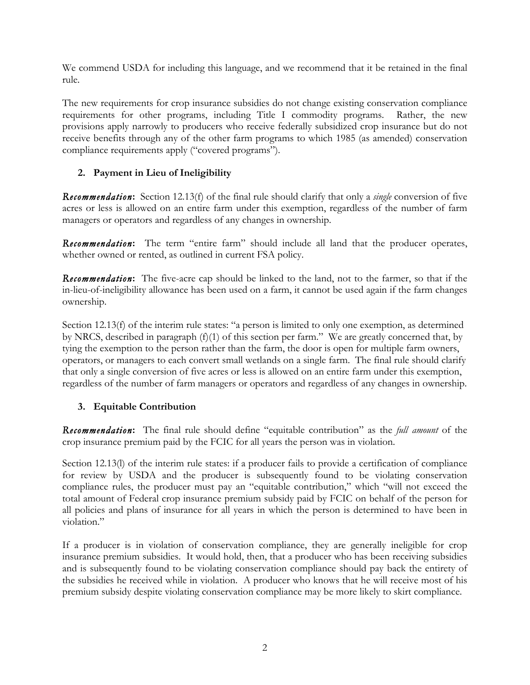We commend USDA for including this language, and we recommend that it be retained in the final rule.

The new requirements for crop insurance subsidies do not change existing conservation compliance requirements for other programs, including Title I commodity programs. Rather, the new provisions apply narrowly to producers who receive federally subsidized crop insurance but do not receive benefits through any of the other farm programs to which 1985 (as amended) conservation compliance requirements apply ("covered programs").

## **2. Payment in Lieu of Ineligibility**

*Recommendation***:** Section 12.13(f) of the final rule should clarify that only a *single* conversion of five acres or less is allowed on an entire farm under this exemption, regardless of the number of farm managers or operators and regardless of any changes in ownership.

*Recommendation***:** The term "entire farm" should include all land that the producer operates, whether owned or rented, as outlined in current FSA policy.

*Recommendation***:** The five-acre cap should be linked to the land, not to the farmer, so that if the in-lieu-of-ineligibility allowance has been used on a farm, it cannot be used again if the farm changes ownership.

Section 12.13(f) of the interim rule states: "a person is limited to only one exemption, as determined by NRCS, described in paragraph (f)(1) of this section per farm." We are greatly concerned that, by tying the exemption to the person rather than the farm, the door is open for multiple farm owners, operators, or managers to each convert small wetlands on a single farm. The final rule should clarify that only a single conversion of five acres or less is allowed on an entire farm under this exemption, regardless of the number of farm managers or operators and regardless of any changes in ownership.

## **3. Equitable Contribution**

*Recommendation***:** The final rule should define "equitable contribution" as the *full amount* of the crop insurance premium paid by the FCIC for all years the person was in violation.

Section 12.13(I) of the interim rule states: if a producer fails to provide a certification of compliance for review by USDA and the producer is subsequently found to be violating conservation compliance rules, the producer must pay an "equitable contribution," which "will not exceed the total amount of Federal crop insurance premium subsidy paid by FCIC on behalf of the person for all policies and plans of insurance for all years in which the person is determined to have been in violation"

If a producer is in violation of conservation compliance, they are generally ineligible for crop insurance premium subsidies. It would hold, then, that a producer who has been receiving subsidies and is subsequently found to be violating conservation compliance should pay back the entirety of the subsidies he received while in violation. A producer who knows that he will receive most of his premium subsidy despite violating conservation compliance may be more likely to skirt compliance.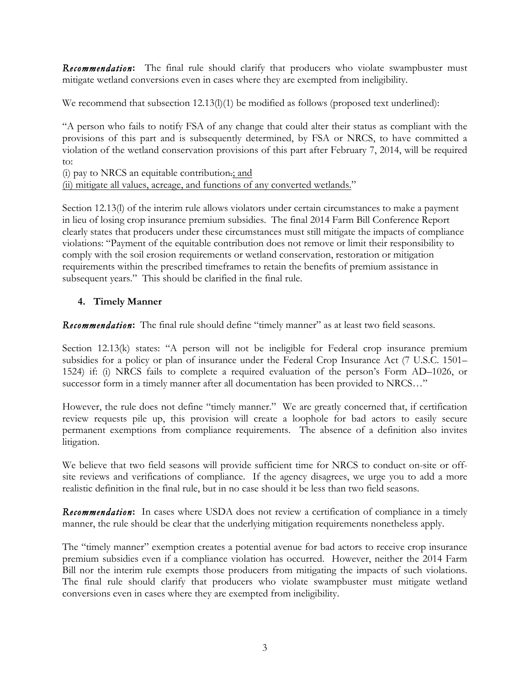**Recommendation:** The final rule should clarify that producers who violate swampbuster must mitigate wetland conversions even in cases where they are exempted from ineligibility.

We recommend that subsection  $12.13(l)(1)$  be modified as follows (proposed text underlined):

"A person who fails to notify FSA of any change that could alter their status as compliant with the provisions of this part and is subsequently determined, by FSA or NRCS, to have committed a violation of the wetland conservation provisions of this part after February 7, 2014, will be required to:

(i) pay to NRCS an equitable contribution.; and

(ii) mitigate all values, acreage, and functions of any converted wetlands."

Section 12.13(l) of the interim rule allows violators under certain circumstances to make a payment in lieu of losing crop insurance premium subsidies. The final 2014 Farm Bill Conference Report clearly states that producers under these circumstances must still mitigate the impacts of compliance violations: "Payment of the equitable contribution does not remove or limit their responsibility to comply with the soil erosion requirements or wetland conservation, restoration or mitigation requirements within the prescribed timeframes to retain the benefits of premium assistance in subsequent years." This should be clarified in the final rule.

## **4. Timely Manner**

*Recommendation***:** The final rule should define "timely manner" as at least two field seasons.

Section 12.13(k) states: "A person will not be ineligible for Federal crop insurance premium subsidies for a policy or plan of insurance under the Federal Crop Insurance Act (7 U.S.C. 1501– 1524) if: (i) NRCS fails to complete a required evaluation of the person's Form AD–1026, or successor form in a timely manner after all documentation has been provided to NRCS…"

However, the rule does not define "timely manner." We are greatly concerned that, if certification review requests pile up, this provision will create a loophole for bad actors to easily secure permanent exemptions from compliance requirements. The absence of a definition also invites litigation.

We believe that two field seasons will provide sufficient time for NRCS to conduct on-site or offsite reviews and verifications of compliance. If the agency disagrees, we urge you to add a more realistic definition in the final rule, but in no case should it be less than two field seasons.

*Recommendation***:** In cases where USDA does not review a certification of compliance in a timely manner, the rule should be clear that the underlying mitigation requirements nonetheless apply.

The "timely manner" exemption creates a potential avenue for bad actors to receive crop insurance premium subsidies even if a compliance violation has occurred. However, neither the 2014 Farm Bill nor the interim rule exempts those producers from mitigating the impacts of such violations. The final rule should clarify that producers who violate swampbuster must mitigate wetland conversions even in cases where they are exempted from ineligibility.